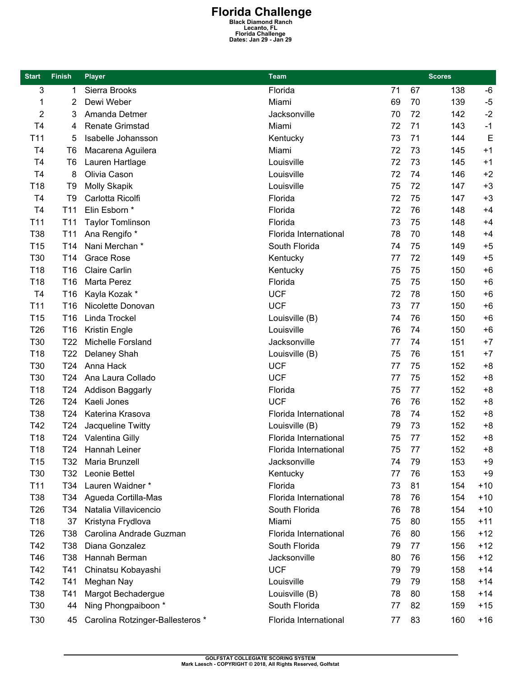## **Florida Challenge Black Diamond Ranch Lecanto, FL Florida Challenge Dates: Jan 29 - Jan 29**

| <b>Start</b>    | <b>Finish</b>   | <b>Player</b>                    | <b>Team</b>           | <b>Scores</b> |    |     |       |
|-----------------|-----------------|----------------------------------|-----------------------|---------------|----|-----|-------|
| 3               | 1               | Sierra Brooks                    | Florida               | 71            | 67 | 138 | -6    |
| 1               | 2               | Dewi Weber                       | Miami                 | 69            | 70 | 139 | $-5$  |
| 2               | 3               | Amanda Detmer                    | Jacksonville          | 70            | 72 | 142 | $-2$  |
| T4              | 4               | <b>Renate Grimstad</b>           | Miami                 | 72            | 71 | 143 | $-1$  |
| T11             | 5               | Isabelle Johansson               | Kentucky              | 73            | 71 | 144 | E     |
| T <sub>4</sub>  | T <sub>6</sub>  | Macarena Aguilera                | Miami                 | 72            | 73 | 145 | $+1$  |
| T4              | T <sub>6</sub>  | Lauren Hartlage                  | Louisville            | 72            | 73 | 145 | $+1$  |
| T <sub>4</sub>  | 8               | Olivia Cason                     | Louisville            | 72            | 74 | 146 | $+2$  |
| T18             | T <sub>9</sub>  | <b>Molly Skapik</b>              | Louisville            | 75            | 72 | 147 | $+3$  |
| T <sub>4</sub>  | T <sub>9</sub>  | Carlotta Ricolfi                 | Florida               | 72            | 75 | 147 | $+3$  |
| T <sub>4</sub>  | T <sub>11</sub> | Elin Esborn *                    | Florida               | 72            | 76 | 148 | $+4$  |
| T11             | T <sub>11</sub> | <b>Taylor Tomlinson</b>          | Florida               | 73            | 75 | 148 | $+4$  |
| T38             | T <sub>11</sub> | Ana Rengifo *                    | Florida International | 78            | 70 | 148 | $+4$  |
| T <sub>15</sub> | T <sub>14</sub> | Nani Merchan*                    | South Florida         | 74            | 75 | 149 | $+5$  |
| T30             | T14             | <b>Grace Rose</b>                | Kentucky              | 77            | 72 | 149 | $+5$  |
| T18             | T <sub>16</sub> | <b>Claire Carlin</b>             | Kentucky              | 75            | 75 | 150 | $+6$  |
| T18             | T <sub>16</sub> | Marta Perez                      | Florida               | 75            | 75 | 150 | $+6$  |
| T <sub>4</sub>  | T16             | Kayla Kozak *                    | <b>UCF</b>            | 72            | 78 | 150 | $+6$  |
| T <sub>11</sub> | T <sub>16</sub> | Nicolette Donovan                | <b>UCF</b>            | 73            | 77 | 150 | $+6$  |
| T <sub>15</sub> | T <sub>16</sub> | Linda Trockel                    | Louisville (B)        | 74            | 76 | 150 | $+6$  |
| T <sub>26</sub> | T16             | Kristin Engle                    | Louisville            | 76            | 74 | 150 | $+6$  |
| T30             | T22             | Michelle Forsland                | Jacksonville          | 77            | 74 | 151 | $+7$  |
| T18             | T <sub>22</sub> | Delaney Shah                     | Louisville (B)        | 75            | 76 | 151 | $+7$  |
| T30             | T <sub>24</sub> | Anna Hack                        | <b>UCF</b>            | 77            | 75 | 152 | $+8$  |
| T30             | T24             | Ana Laura Collado                | <b>UCF</b>            | 77            | 75 | 152 | $+8$  |
| T18             | T24             | Addison Baggarly                 | Florida               | 75            | 77 | 152 | $+8$  |
| T <sub>26</sub> | T <sub>24</sub> | Kaeli Jones                      | <b>UCF</b>            | 76            | 76 | 152 | $+8$  |
| T38             | T <sub>24</sub> | Katerina Krasova                 | Florida International | 78            | 74 | 152 | $+8$  |
| T42             | T24             | Jacqueline Twitty                | Louisville (B)        | 79            | 73 | 152 | $+8$  |
| T18             | T24             | Valentina Gilly                  | Florida International | 75            | 77 | 152 | $+8$  |
| T18             | T24             | Hannah Leiner                    | Florida International | 75            | 77 | 152 | $+8$  |
| T <sub>15</sub> | T32             | Maria Brunzell                   | Jacksonville          | 74            | 79 | 153 | $+9$  |
| T30             | T32             | Leonie Bettel                    | Kentucky              | 77            | 76 | 153 | $+9$  |
| T11             | T34             | Lauren Waidner *                 | Florida               | 73            | 81 | 154 | $+10$ |
| T38             | T34             | Agueda Cortilla-Mas              | Florida International | 78            | 76 | 154 | $+10$ |
| T <sub>26</sub> | T34             | Natalia Villavicencio            | South Florida         | 76            | 78 | 154 | $+10$ |
| T18             | 37              | Kristyna Frydlova                | Miami                 | 75            | 80 | 155 | $+11$ |
| T <sub>26</sub> | T38             | Carolina Andrade Guzman          | Florida International | 76            | 80 | 156 | $+12$ |
| T42             | T38             | Diana Gonzalez                   | South Florida         | 79            | 77 | 156 | $+12$ |
| T46             | T38             | Hannah Berman                    | Jacksonville          | 80            | 76 | 156 | $+12$ |
| T42             | T41             | Chinatsu Kobayashi               | <b>UCF</b>            | 79            | 79 | 158 | $+14$ |
| T42             | T41             | Meghan Nay                       | Louisville            | 79            | 79 | 158 | $+14$ |
| T38             | T41             | Margot Bechadergue               | Louisville (B)        | 78            | 80 | 158 | $+14$ |
| T30             | 44              | Ning Phongpaiboon *              | South Florida         | 77            | 82 | 159 | $+15$ |
| T30             | 45              | Carolina Rotzinger-Ballesteros * | Florida International | 77            | 83 | 160 | $+16$ |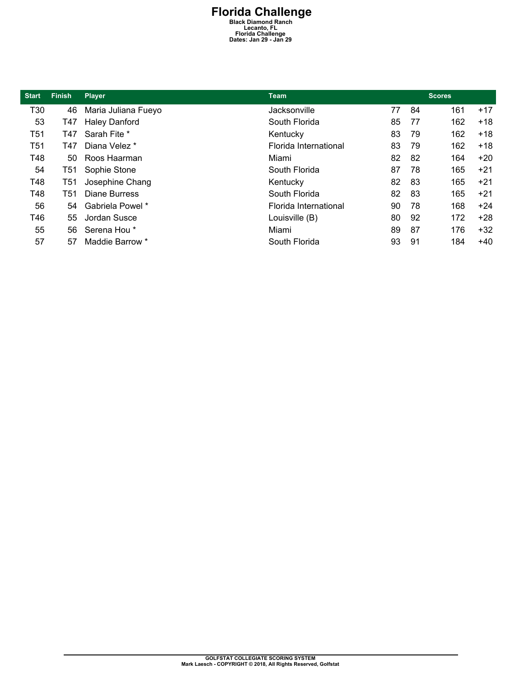## **Florida Challenge Black Diamond Ranch Lecanto, FL Florida Challenge Dates: Jan 29 - Jan 29**

| <b>Start</b> | <b>Finish</b> | <b>Player</b>        | <b>Team</b>           | <b>Scores</b> |    |     |       |
|--------------|---------------|----------------------|-----------------------|---------------|----|-----|-------|
| T30          | 46            | Maria Juliana Fueyo  | Jacksonville          | 77            | 84 | 161 | $+17$ |
| 53           | T47           | <b>Haley Danford</b> | South Florida         | 85            | 77 | 162 | $+18$ |
| T51          | T47           | Sarah Fite *         | Kentucky              | 83            | 79 | 162 | $+18$ |
| T51          | T47           | Diana Velez *        | Florida International | 83            | 79 | 162 | $+18$ |
| T48          | 50            | Roos Haarman         | Miami                 | 82            | 82 | 164 | $+20$ |
| 54           | T51           | Sophie Stone         | South Florida         | 87            | 78 | 165 | $+21$ |
| T48          | T51           | Josephine Chang      | Kentucky              | 82            | 83 | 165 | $+21$ |
| T48          | T51           | Diane Burress        | South Florida         | 82            | 83 | 165 | $+21$ |
| 56           | 54            | Gabriela Powel *     | Florida International | 90            | 78 | 168 | $+24$ |
| T46          | 55            | Jordan Susce         | Louisville (B)        | 80            | 92 | 172 | $+28$ |
| 55           | 56            | Serena Hou *         | Miami                 | 89            | 87 | 176 | $+32$ |
| 57           | 57            | Maddie Barrow *      | South Florida         | 93            | 91 | 184 | $+40$ |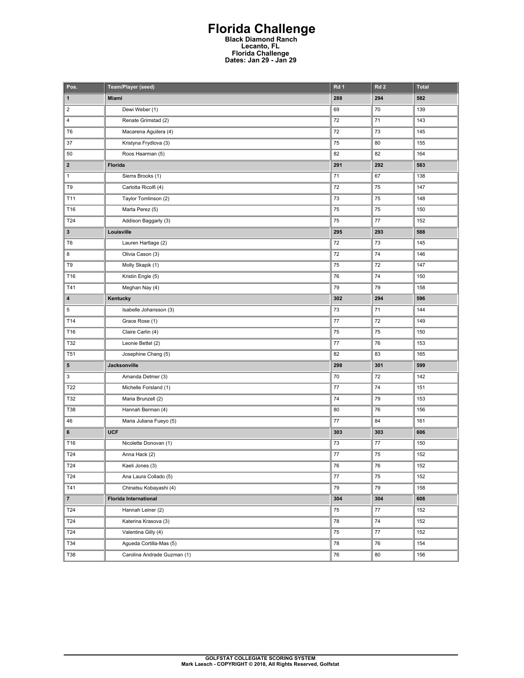## **Florida Challenge Black Diamond Ranch Lecanto, FL Florida Challenge Dates: Jan 29 - Jan 29**

| Pos.                    | Team/Player (seed)           | Rd 1    | Rd <sub>2</sub> | <b>Total</b> |
|-------------------------|------------------------------|---------|-----------------|--------------|
| $\mathbf{1}$            | Miami                        | 288     | 294             | 582          |
| $\overline{\mathbf{c}}$ | Dewi Weber (1)               | 69      | 70              | 139          |
| 4                       | Renate Grimstad (2)          | 72      | 71              | 143          |
| T <sub>6</sub>          | Macarena Aguilera (4)        | 72      | 73              | 145          |
| 37                      | Kristyna Frydlova (3)        | 75      | 80              | 155          |
| 50                      | Roos Haarman (5)             | 82      | 82              | 164          |
| $\mathbf{2}$            | Florida                      | 291     | 292             | 583          |
| $\mathbf{1}$            | Sierra Brooks (1)            | 71      | 67              | 138          |
| T9                      | Carlotta Ricolfi (4)         | 72      | 75              | 147          |
| T11                     | Taylor Tomlinson (2)         | 73      | 75              | 148          |
| T16                     | Marta Perez (5)              | 75      | 75              | 150          |
| T24                     | Addison Baggarly (3)         | 75      | 77              | 152          |
| 3                       | Louisville                   | 295     | 293             | 588          |
| T <sub>6</sub>          | Lauren Hartlage (2)          | 72      | 73              | 145          |
| 8                       | Olivia Cason (3)             | 72      | 74              | 146          |
| T9                      | Molly Skapik (1)             | 75      | 72              | 147          |
| T16                     | Kristin Engle (5)            | 76      | 74              | 150          |
| T41                     | Meghan Nay (4)               | 79      | 79              | 158          |
| 4                       | Kentucky                     | 302     | 294             | 596          |
| 5                       | Isabelle Johansson (3)       | 73      | 71              | 144          |
| T14                     | Grace Rose (1)               | $77 \,$ | 72              | 149          |
| T16                     | Claire Carlin (4)            | 75      | 75              | 150          |
| T32                     | Leonie Bettel (2)            | 77      | 76              | 153          |
| T51                     | Josephine Chang (5)          | 82      | 83              | 165          |
| 5                       | Jacksonville                 | 298     | 301             | 599          |
| 3                       | Amanda Detmer (3)            | 70      | 72              | 142          |
| T22                     | Michelle Forsland (1)        | 77      | 74              | 151          |
| T32                     | Maria Brunzell (2)           | 74      | 79              | 153          |
| T38                     | Hannah Berman (4)            | 80      | 76              | 156          |
| 46                      | Maria Juliana Fueyo (5)      | 77      | 84              | 161          |
| 6                       | <b>UCF</b>                   | 303     | 303             | 606          |
| T16                     | Nicolette Donovan (1)        | 73      | 77              | 150          |
| T24                     | Anna Hack (2)                | 77      | 75              | 152          |
| T24                     | Kaeli Jones (3)              | 76      | 76              | 152          |
| T24                     | Ana Laura Collado (5)        | 77      | 75              | 152          |
| T41                     | Chinatsu Kobayashi (4)       | 79      | 79              | 158          |
| 7 <sup>7</sup>          | <b>Florida International</b> | 304     | 304             | 608          |
| T24                     | Hannah Leiner (2)            | 75      | 77              | 152          |
| T24                     | Katerina Krasova (3)         | 78      | 74              | 152          |
| T24                     | Valentina Gilly (4)          | 75      | $77\,$          | 152          |
| T34                     | Agueda Cortilla-Mas (5)      | 78      | 76              | 154          |
| T38                     | Carolina Andrade Guzman (1)  | 76      | 80              | 156          |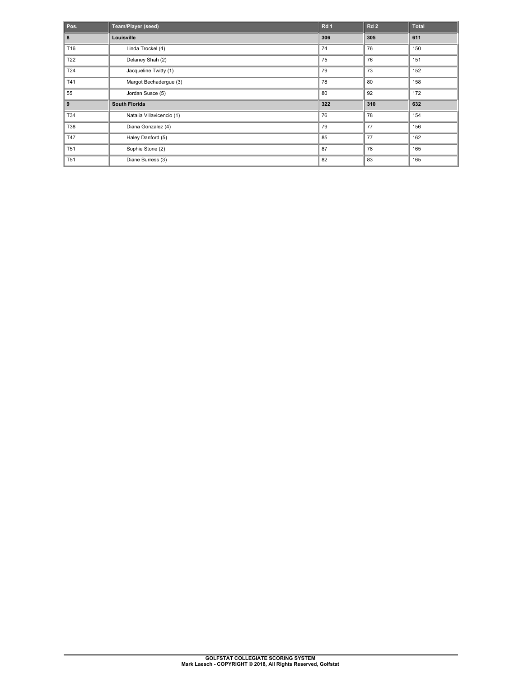| Pos.       | Team/Player (seed)        | Rd 1 | Rd <sub>2</sub> | Total |
|------------|---------------------------|------|-----------------|-------|
| 8          | Louisville                | 306  | 305             | 611   |
| T16        | Linda Trockel (4)         | 74   | 76              | 150   |
| T22        | Delaney Shah (2)          | 75   | 76              | 151   |
| T24        | Jacqueline Twitty (1)     | 79   | 73              | 152   |
| T41        | Margot Bechadergue (3)    | 78   | 80              | 158   |
| 55         | Jordan Susce (5)          | 80   | 92              | 172   |
| 9          | <b>South Florida</b>      | 322  | 310             | 632   |
| T34        | Natalia Villavicencio (1) | 76   | 78              | 154   |
| <b>T38</b> | Diana Gonzalez (4)        | 79   | 77              | 156   |
| T47        | Haley Danford (5)         | 85   | 77              | 162   |
| <b>T51</b> | Sophie Stone (2)          | 87   | 78              | 165   |
| <b>T51</b> | Diane Burress (3)         | 82   | 83              | 165   |